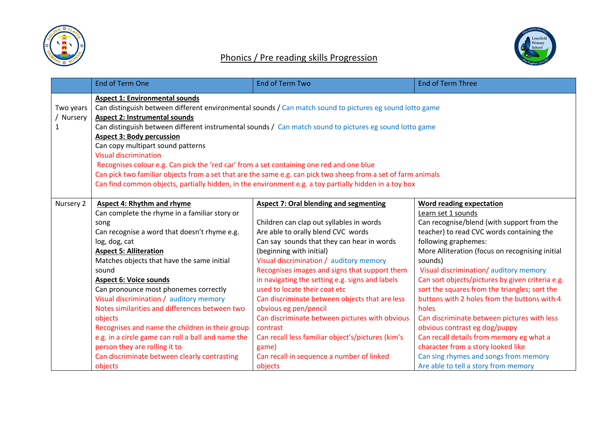

## Phonics / Pre reading skills Progression



|                           | <b>End of Term One</b>                                                                                                                                                                                                                                                                                                                                                                                                                                                                                                                                                                                                                                                                                                               | <b>End of Term Two</b>                                                                                                                                                                                                                                                                                                                                                                                                                                                                                                                                                                                                                                   | <b>End of Term Three</b>                                                                                                                                                                                                                                                                                                                                                                                                                                                                                                                                                                                                                                                                         |
|---------------------------|--------------------------------------------------------------------------------------------------------------------------------------------------------------------------------------------------------------------------------------------------------------------------------------------------------------------------------------------------------------------------------------------------------------------------------------------------------------------------------------------------------------------------------------------------------------------------------------------------------------------------------------------------------------------------------------------------------------------------------------|----------------------------------------------------------------------------------------------------------------------------------------------------------------------------------------------------------------------------------------------------------------------------------------------------------------------------------------------------------------------------------------------------------------------------------------------------------------------------------------------------------------------------------------------------------------------------------------------------------------------------------------------------------|--------------------------------------------------------------------------------------------------------------------------------------------------------------------------------------------------------------------------------------------------------------------------------------------------------------------------------------------------------------------------------------------------------------------------------------------------------------------------------------------------------------------------------------------------------------------------------------------------------------------------------------------------------------------------------------------------|
| Two years<br>Nursery<br>1 | <b>Aspect 1: Environmental sounds</b><br>Can distinguish between different environmental sounds / Can match sound to pictures eg sound lotto game<br><b>Aspect 2: Instrumental sounds</b><br>Can distinguish between different instrumental sounds / Can match sound to pictures eg sound lotto game<br><b>Aspect 3: Body percussion</b><br>Can copy multipart sound patterns<br><b>Visual discrimination</b><br>Recognises colour e.g. Can pick the 'red car' from a set containing one red and one blue<br>Can pick two familiar objects from a set that are the same e.g. can pick two sheep from a set of farm animals<br>Can find common objects, partially hidden, in the environment e.g. a toy partially hidden in a toy box |                                                                                                                                                                                                                                                                                                                                                                                                                                                                                                                                                                                                                                                          |                                                                                                                                                                                                                                                                                                                                                                                                                                                                                                                                                                                                                                                                                                  |
| Nursery 2                 | <b>Aspect 4: Rhythm and rhyme</b><br>Can complete the rhyme in a familiar story or<br>song<br>Can recognise a word that doesn't rhyme e.g.<br>log, dog, cat<br><b>Aspect 5: Alliteration</b><br>Matches objects that have the same initial<br>sound<br><b>Aspect 6: Voice sounds</b><br>Can pronounce most phonemes correctly<br>Visual discrimination / auditory memory<br>Notes similarities and differences between two<br>objects<br>Recognises and name the children in their group<br>e.g. in a circle game can roll a ball and name the<br>person they are rolling it to<br>Can discriminate between clearly contrasting<br>objects                                                                                           | <b>Aspect 7: Oral blending and segmenting</b><br>Children can clap out syllables in words<br>Are able to orally blend CVC words<br>Can say sounds that they can hear in words<br>(beginning with initial)<br>Visual discrimination / auditory memory<br>Recognises images and signs that support them<br>in navigating the setting e.g. signs and labels<br>used to locate their coat etc<br>Can discriminate between objects that are less<br>obvious eg pen/pencil<br>Can discriminate between pictures with obvious<br>contrast<br>Can recall less familiar object's/pictures (kim's<br>game)<br>Can recall in sequence a number of linked<br>objects | <b>Word reading expectation</b><br>Learn set 1 sounds<br>Can recognise/blend (with support from the<br>teacher) to read CVC words containing the<br>following graphemes:<br>More Alliteration (focus on recognising initial<br>sounds)<br>Visual discrimination/auditory memory<br>Can sort objects/pictures by given criteria e.g.<br>sort the squares from the triangles; sort the<br>buttons with 2 holes from the buttons with 4<br>holes<br>Can discriminate between pictures with less<br>obvious contrast eg dog/puppy<br>Can recall details from memory eg what a<br>character from a story looked like<br>Can sing rhymes and songs from memory<br>Are able to tell a story from memory |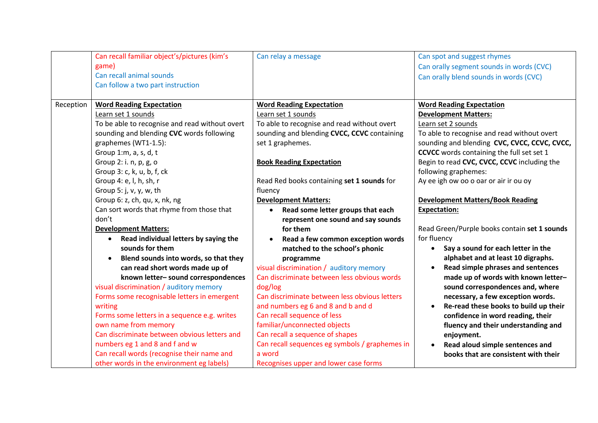|           | Can recall familiar object's/pictures (kim's       | Can relay a message                            | Can spot and suggest rhymes                      |
|-----------|----------------------------------------------------|------------------------------------------------|--------------------------------------------------|
|           | game)                                              |                                                | Can orally segment sounds in words (CVC)         |
|           | Can recall animal sounds                           |                                                | Can orally blend sounds in words (CVC)           |
|           | Can follow a two part instruction                  |                                                |                                                  |
|           |                                                    |                                                |                                                  |
| Reception | <b>Word Reading Expectation</b>                    | <b>Word Reading Expectation</b>                | <b>Word Reading Expectation</b>                  |
|           | Learn set 1 sounds                                 | Learn set 1 sounds                             | <b>Development Matters:</b>                      |
|           | To be able to recognise and read without overt     | To able to recognise and read without overt    | Learn set 2 sounds                               |
|           | sounding and blending CVC words following          | sounding and blending CVCC, CCVC containing    | To able to recognise and read without overt      |
|           | graphemes (WT1-1.5):                               | set 1 graphemes.                               | sounding and blending CVC, CVCC, CCVC, CVCC,     |
|           | Group 1:m, a, s, d, t                              |                                                | <b>CCVCC</b> words containing the full set set 1 |
|           | Group 2: i. n, p, g, o                             | <b>Book Reading Expectation</b>                | Begin to read CVC, CVCC, CCVC including the      |
|           | Group 3: c, k, u, b, f, ck                         |                                                | following graphemes:                             |
|           | Group 4: e, l, h, sh, r                            | Read Red books containing set 1 sounds for     | Ay ee igh ow oo o oar or air ir ou oy            |
|           | Group 5: j, v, y, w, th                            | fluency                                        |                                                  |
|           | Group 6: z, ch, qu, x, nk, ng                      | <b>Development Matters:</b>                    | <b>Development Matters/Book Reading</b>          |
|           | Can sort words that rhyme from those that          | Read some letter groups that each<br>$\bullet$ | <b>Expectation:</b>                              |
|           | don't                                              | represent one sound and say sounds             |                                                  |
|           | <b>Development Matters:</b>                        | for them                                       | Read Green/Purple books contain set 1 sounds     |
|           | Read individual letters by saying the<br>$\bullet$ | Read a few common exception words              | for fluency                                      |
|           | sounds for them                                    | matched to the school's phonic                 | Say a sound for each letter in the<br>$\bullet$  |
|           | Blend sounds into words, so that they              | programme                                      | alphabet and at least 10 digraphs.               |
|           | can read short words made up of                    | visual discrimination / auditory memory        | Read simple phrases and sentences<br>$\bullet$   |
|           | known letter- sound correspondences                | Can discriminate between less obvious words    | made up of words with known letter-              |
|           | visual discrimination / auditory memory            | dog/log                                        | sound correspondences and, where                 |
|           | Forms some recognisable letters in emergent        | Can discriminate between less obvious letters  | necessary, a few exception words.                |
|           | writing                                            | and numbers eg 6 and 8 and b and d             | Re-read these books to build up their            |
|           | Forms some letters in a sequence e.g. writes       | Can recall sequence of less                    | confidence in word reading, their                |
|           | own name from memory                               | familiar/unconnected objects                   | fluency and their understanding and              |
|           | Can discriminate between obvious letters and       | Can recall a sequence of shapes                | enjoyment.                                       |
|           | numbers eg 1 and 8 and f and w                     | Can recall sequences eg symbols / graphemes in | Read aloud simple sentences and<br>$\bullet$     |
|           | Can recall words (recognise their name and         | a word                                         | books that are consistent with their             |
|           | other words in the environment eg labels)          | Recognises upper and lower case forms          |                                                  |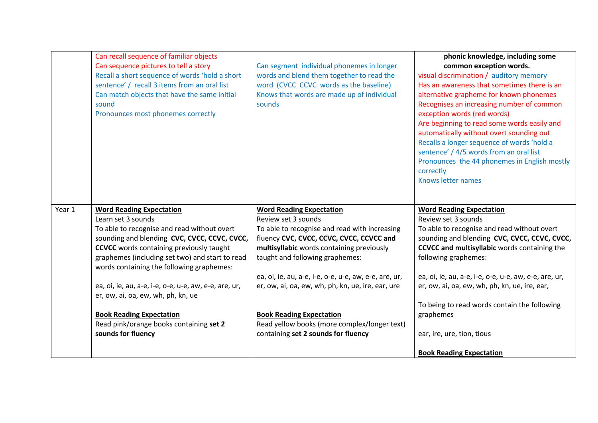|        | Can recall sequence of familiar objects<br>Can sequence pictures to tell a story<br>Recall a short sequence of words 'hold a short<br>sentence' / recall 3 items from an oral list<br>Can match objects that have the same initial<br>sound<br>Pronounces most phonemes correctly | Can segment individual phonemes in longer<br>words and blend them together to read the<br>word (CVCC CCVC words as the baseline)<br>Knows that words are made up of individual<br>sounds | phonic knowledge, including some<br>common exception words.<br>visual discrimination / auditory memory<br>Has an awareness that sometimes there is an<br>alternative grapheme for known phonemes<br>Recognises an increasing number of common<br>exception words (red words)<br>Are beginning to read some words easily and<br>automatically without overt sounding out<br>Recalls a longer sequence of words 'hold a<br>sentence' / 4/5 words from an oral list<br>Pronounces the 44 phonemes in English mostly<br>correctly<br>Knows letter names |
|--------|-----------------------------------------------------------------------------------------------------------------------------------------------------------------------------------------------------------------------------------------------------------------------------------|------------------------------------------------------------------------------------------------------------------------------------------------------------------------------------------|-----------------------------------------------------------------------------------------------------------------------------------------------------------------------------------------------------------------------------------------------------------------------------------------------------------------------------------------------------------------------------------------------------------------------------------------------------------------------------------------------------------------------------------------------------|
| Year 1 | <b>Word Reading Expectation</b>                                                                                                                                                                                                                                                   | <b>Word Reading Expectation</b>                                                                                                                                                          | <b>Word Reading Expectation</b>                                                                                                                                                                                                                                                                                                                                                                                                                                                                                                                     |
|        | Learn set 3 sounds<br>To able to recognise and read without overt                                                                                                                                                                                                                 | Review set 3 sounds<br>To able to recognise and read with increasing                                                                                                                     | Review set 3 sounds<br>To able to recognise and read without overt                                                                                                                                                                                                                                                                                                                                                                                                                                                                                  |
|        | sounding and blending CVC, CVCC, CCVC, CVCC,                                                                                                                                                                                                                                      | fluency CVC, CVCC, CCVC, CVCC, CCVCC and                                                                                                                                                 | sounding and blending CVC, CVCC, CCVC, CVCC,                                                                                                                                                                                                                                                                                                                                                                                                                                                                                                        |
|        | <b>CCVCC</b> words containing previously taught                                                                                                                                                                                                                                   | multisyllabic words containing previously                                                                                                                                                | <b>CCVCC and multisyllabic</b> words containing the                                                                                                                                                                                                                                                                                                                                                                                                                                                                                                 |
|        | graphemes (including set two) and start to read<br>words containing the following graphemes:                                                                                                                                                                                      | taught and following graphemes:                                                                                                                                                          | following graphemes:                                                                                                                                                                                                                                                                                                                                                                                                                                                                                                                                |
|        |                                                                                                                                                                                                                                                                                   | ea, oi, ie, au, a-e, i-e, o-e, u-e, aw, e-e, are, ur,                                                                                                                                    | ea, oi, ie, au, a-e, i-e, o-e, u-e, aw, e-e, are, ur,                                                                                                                                                                                                                                                                                                                                                                                                                                                                                               |
|        | ea, oi, ie, au, a-e, i-e, o-e, u-e, aw, e-e, are, ur,<br>er, ow, ai, oa, ew, wh, ph, kn, ue                                                                                                                                                                                       | er, ow, ai, oa, ew, wh, ph, kn, ue, ire, ear, ure                                                                                                                                        | er, ow, ai, oa, ew, wh, ph, kn, ue, ire, ear,                                                                                                                                                                                                                                                                                                                                                                                                                                                                                                       |
|        |                                                                                                                                                                                                                                                                                   |                                                                                                                                                                                          | To being to read words contain the following                                                                                                                                                                                                                                                                                                                                                                                                                                                                                                        |
|        | <b>Book Reading Expectation</b>                                                                                                                                                                                                                                                   | <b>Book Reading Expectation</b>                                                                                                                                                          | graphemes                                                                                                                                                                                                                                                                                                                                                                                                                                                                                                                                           |
|        | Read pink/orange books containing set 2                                                                                                                                                                                                                                           | Read yellow books (more complex/longer text)                                                                                                                                             |                                                                                                                                                                                                                                                                                                                                                                                                                                                                                                                                                     |
|        | sounds for fluency                                                                                                                                                                                                                                                                | containing set 2 sounds for fluency                                                                                                                                                      | ear, ire, ure, tion, tious                                                                                                                                                                                                                                                                                                                                                                                                                                                                                                                          |
|        |                                                                                                                                                                                                                                                                                   |                                                                                                                                                                                          | <b>Book Reading Expectation</b>                                                                                                                                                                                                                                                                                                                                                                                                                                                                                                                     |